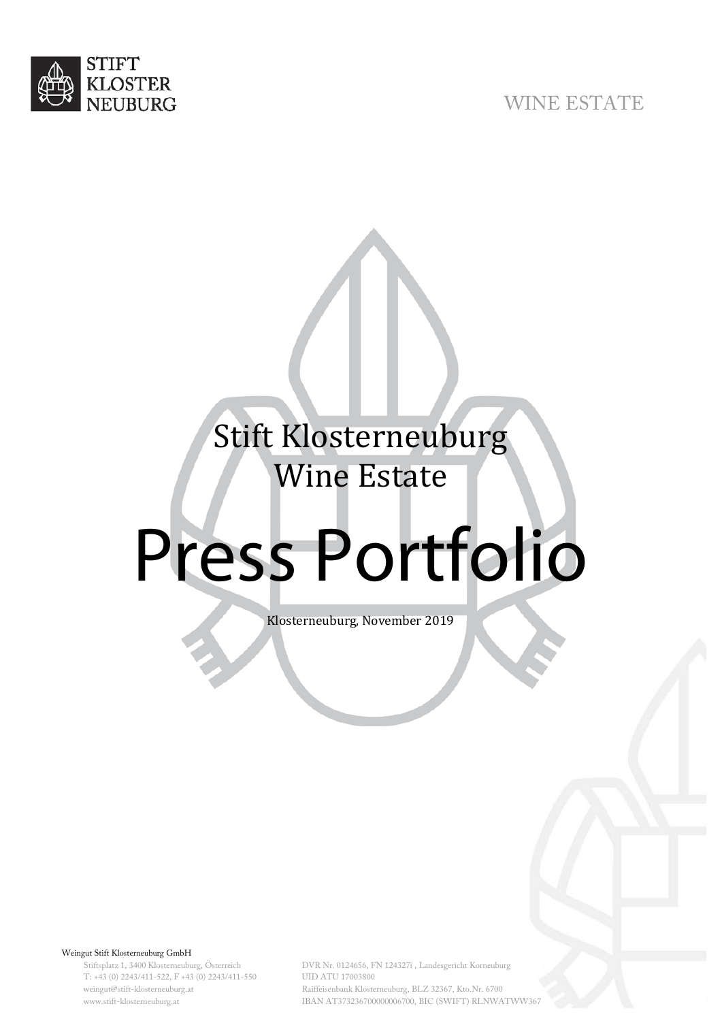

# WINE ESTATE

# Stift Klosterneuburg Wine Estate

# Press Portfolio

Klosterneuburg, November 2019

Weingut Stift Klosterneuburg GmbH

Stiftsplatz 1, 3400 Klosterneuburg, Österreich T: +43 (0) 2243/411-522, F +43 (0) 2243/411-550 weingut@stift-klosterneuburg.at www.stift-klosterneuburg.at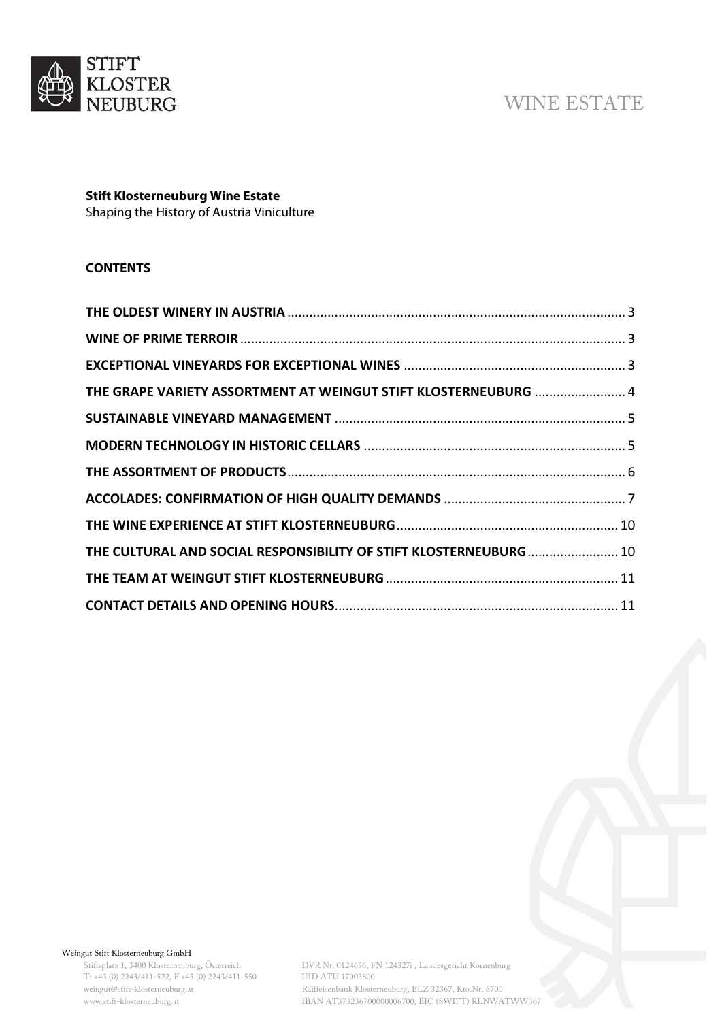

# WINE ESTATE

## **Stift Klosterneuburg Wine Estate**

Shaping the History of Austria Viniculture

## **CONTENTS**

| THE GRAPE VARIETY ASSORTMENT AT WEINGUT STIFT KLOSTERNEUBURG  4   |  |
|-------------------------------------------------------------------|--|
|                                                                   |  |
|                                                                   |  |
|                                                                   |  |
|                                                                   |  |
|                                                                   |  |
| THE CULTURAL AND SOCIAL RESPONSIBILITY OF STIFT KLOSTERNEUBURG 10 |  |
|                                                                   |  |
|                                                                   |  |

#### Weingut Stift Klosterneuburg GmbH

Stiftsplatz 1, 3400 Klosterneuburg, Österreich T: +43 (0) 2243/411-522, F +43 (0) 2243/411-550 weingut@stift-klosterneuburg.at www.stift-klosterneuburg.at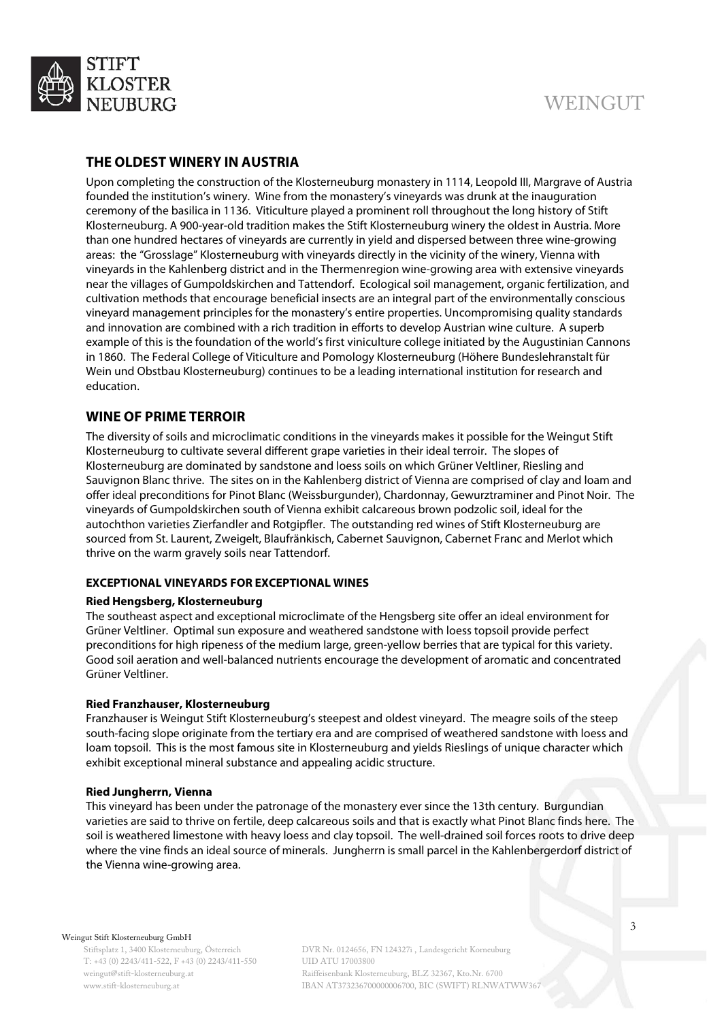

## <span id="page-2-0"></span>**THE OLDEST WINERY IN AUSTRIA**

Upon completing the construction of the Klosterneuburg monastery in 1114, Leopold III, Margrave of Austria founded the institution's winery. Wine from the monastery's vineyards was drunk at the inauguration ceremony of the basilica in 1136. Viticulture played a prominent roll throughout the long history of Stift Klosterneuburg. A 900-year-old tradition makes the Stift Klosterneuburg winery the oldest in Austria. More than one hundred hectares of vineyards are currently in yield and dispersed between three wine-growing areas: the "Grosslage" Klosterneuburg with vineyards directly in the vicinity of the winery, Vienna with vineyards in the Kahlenberg district and in the Thermenregion wine-growing area with extensive vineyards near the villages of Gumpoldskirchen and Tattendorf. Ecological soil management, organic fertilization, and cultivation methods that encourage beneficial insects are an integral part of the environmentally conscious vineyard management principles for the monastery's entire properties. Uncompromising quality standards and innovation are combined with a rich tradition in efforts to develop Austrian wine culture. A superb example of this is the foundation of the world's first viniculture college initiated by the Augustinian Cannons in 1860. The Federal College of Viticulture and Pomology Klosterneuburg (Höhere Bundeslehranstalt für Wein und Obstbau Klosterneuburg) continues to be a leading international institution for research and education.

## <span id="page-2-1"></span>**WINE OF PRIME TERROIR**

The diversity of soils and microclimatic conditions in the vineyards makes it possible for the Weingut Stift Klosterneuburg to cultivate several different grape varieties in their ideal terroir. The slopes of Klosterneuburg are dominated by sandstone and loess soils on which Grüner Veltliner, Riesling and Sauvignon Blanc thrive. The sites on in the Kahlenberg district of Vienna are comprised of clay and loam and offer ideal preconditions for Pinot Blanc (Weissburgunder), Chardonnay, Gewurztraminer and Pinot Noir. The vineyards of Gumpoldskirchen south of Vienna exhibit calcareous brown podzolic soil, ideal for the autochthon varieties Zierfandler and Rotgipfler. The outstanding red wines of Stift Klosterneuburg are sourced from St. Laurent, Zweigelt, Blaufränkisch, Cabernet Sauvignon, Cabernet Franc and Merlot which thrive on the warm gravely soils near Tattendorf.

#### <span id="page-2-2"></span>**EXCEPTIONAL VINEYARDS FOR EXCEPTIONAL WINES**

#### **Ried Hengsberg, Klosterneuburg**

The southeast aspect and exceptional microclimate of the Hengsberg site offer an ideal environment for Grüner Veltliner. Optimal sun exposure and weathered sandstone with loess topsoil provide perfect preconditions for high ripeness of the medium large, green-yellow berries that are typical for this variety. Good soil aeration and well-balanced nutrients encourage the development of aromatic and concentrated Grüner Veltliner.

#### **Ried Franzhauser, Klosterneuburg**

Franzhauser is Weingut Stift Klosterneuburg's steepest and oldest vineyard. The meagre soils of the steep south-facing slope originate from the tertiary era and are comprised of weathered sandstone with loess and loam topsoil. This is the most famous site in Klosterneuburg and yields Rieslings of unique character which exhibit exceptional mineral substance and appealing acidic structure.

#### **Ried Jungherrn, Vienna**

This vineyard has been under the patronage of the monastery ever since the 13th century. Burgundian varieties are said to thrive on fertile, deep calcareous soils and that is exactly what Pinot Blanc finds here. The soil is weathered limestone with heavy loess and clay topsoil. The well-drained soil forces roots to drive deep where the vine finds an ideal source of minerals. Jungherrn is small parcel in the Kahlenbergerdorf district of the Vienna wine-growing area.

#### Weingut Stift Klosterneuburg GmbH

Stiftsplatz 1, 3400 Klosterneuburg, Österreich T: +43 (0) 2243/411-522, F +43 (0) 2243/411-550 weingut@stift-klosterneuburg.at www.stift-klosterneuburg.at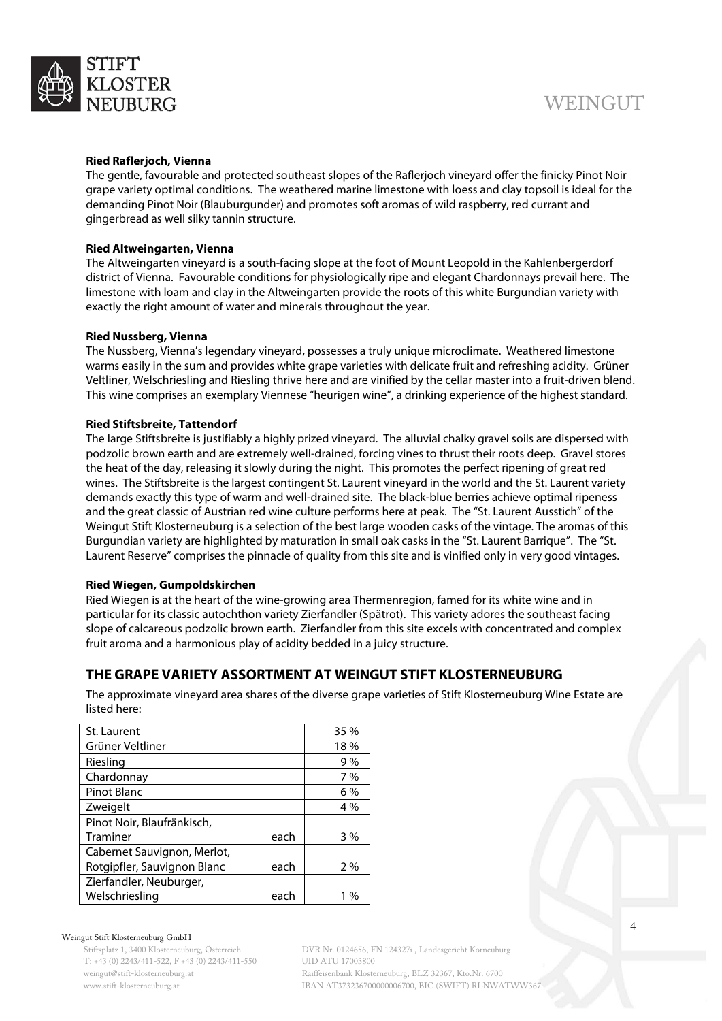

#### **Ried Raflerjoch, Vienna**

The gentle, favourable and protected southeast slopes of the Raflerjoch vineyard offer the finicky Pinot Noir grape variety optimal conditions. The weathered marine limestone with loess and clay topsoil is ideal for the demanding Pinot Noir (Blauburgunder) and promotes soft aromas of wild raspberry, red currant and gingerbread as well silky tannin structure.

#### **Ried Altweingarten, Vienna**

The Altweingarten vineyard is a south-facing slope at the foot of Mount Leopold in the Kahlenbergerdorf district of Vienna. Favourable conditions for physiologically ripe and elegant Chardonnays prevail here. The limestone with loam and clay in the Altweingarten provide the roots of this white Burgundian variety with exactly the right amount of water and minerals throughout the year.

#### **Ried Nussberg, Vienna**

The Nussberg, Vienna's legendary vineyard, possesses a truly unique microclimate. Weathered limestone warms easily in the sum and provides white grape varieties with delicate fruit and refreshing acidity. Grüner Veltliner, Welschriesling and Riesling thrive here and are vinified by the cellar master into a fruit-driven blend. This wine comprises an exemplary Viennese "heurigen wine", a drinking experience of the highest standard.

#### **Ried Stiftsbreite, Tattendorf**

The large Stiftsbreite is justifiably a highly prized vineyard. The alluvial chalky gravel soils are dispersed with podzolic brown earth and are extremely well-drained, forcing vines to thrust their roots deep. Gravel stores the heat of the day, releasing it slowly during the night. This promotes the perfect ripening of great red wines. The Stiftsbreite is the largest contingent St. Laurent vineyard in the world and the St. Laurent variety demands exactly this type of warm and well-drained site. The black-blue berries achieve optimal ripeness and the great classic of Austrian red wine culture performs here at peak. The "St. Laurent Ausstich" of the Weingut Stift Klosterneuburg is a selection of the best large wooden casks of the vintage. The aromas of this Burgundian variety are highlighted by maturation in small oak casks in the "St. Laurent Barrique". The "St. Laurent Reserve" comprises the pinnacle of quality from this site and is vinified only in very good vintages.

#### **Ried Wiegen, Gumpoldskirchen**

Ried Wiegen is at the heart of the wine-growing area Thermenregion, famed for its white wine and in particular for its classic autochthon variety Zierfandler (Spätrot). This variety adores the southeast facing slope of calcareous podzolic brown earth. Zierfandler from this site excels with concentrated and complex fruit aroma and a harmonious play of acidity bedded in a juicy structure.

## <span id="page-3-0"></span>**THE GRAPE VARIETY ASSORTMENT AT WEINGUT STIFT KLOSTERNEUBURG**

The approximate vineyard area shares of the diverse grape varieties of Stift Klosterneuburg Wine Estate are listed here:

| St. Laurent                 |      | 35 % |
|-----------------------------|------|------|
| Grüner Veltliner            |      | 18%  |
| Riesling                    |      | 9%   |
| Chardonnay                  |      | 7%   |
| <b>Pinot Blanc</b>          |      | 6%   |
| Zweigelt                    |      | 4 %  |
| Pinot Noir, Blaufränkisch,  |      |      |
| Traminer                    | each | 3%   |
| Cabernet Sauvignon, Merlot, |      |      |
| Rotgipfler, Sauvignon Blanc | each | 2%   |
| Zierfandler, Neuburger,     |      |      |
| Welschriesling              | each | 1 %  |

#### Weingut Stift Klosterneuburg GmbH

Stiftsplatz 1, 3400 Klosterneuburg, Österreich T: +43 (0) 2243/411-522, F +43 (0) 2243/411-550 weingut@stift-klosterneuburg.at www.stift-klosterneuburg.at

DVR Nr. 0124656, FN 124327i , Landesgericht Korneuburg UID ATU 17003800 Raiffeisenbank Klosterneuburg, BLZ 32367, Kto.Nr. 6700 IBAN AT373236700000006700, BIC (SWIFT) RLNWATWW367 4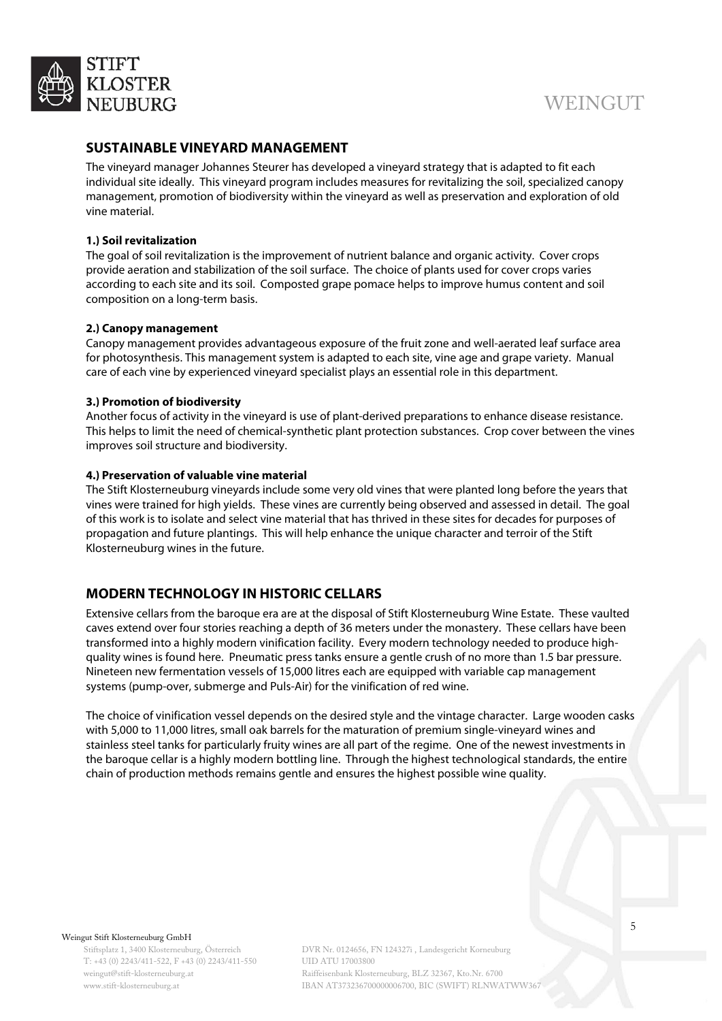

## <span id="page-4-0"></span>**SUSTAINABLE VINEYARD MANAGEMENT**

The vineyard manager Johannes Steurer has developed a vineyard strategy that is adapted to fit each individual site ideally. This vineyard program includes measures for revitalizing the soil, specialized canopy management, promotion of biodiversity within the vineyard as well as preservation and exploration of old vine material.

#### **1.) Soil revitalization**

The goal of soil revitalization is the improvement of nutrient balance and organic activity. Cover crops provide aeration and stabilization of the soil surface. The choice of plants used for cover crops varies according to each site and its soil. Composted grape pomace helps to improve humus content and soil composition on a long-term basis.

#### **2.) Canopy management**

Canopy management provides advantageous exposure of the fruit zone and well-aerated leaf surface area for photosynthesis. This management system is adapted to each site, vine age and grape variety. Manual care of each vine by experienced vineyard specialist plays an essential role in this department.

#### **3.) Promotion of biodiversity**

Another focus of activity in the vineyard is use of plant-derived preparations to enhance disease resistance. This helps to limit the need of chemical-synthetic plant protection substances. Crop cover between the vines improves soil structure and biodiversity.

#### **4.) Preservation of valuable vine material**

The Stift Klosterneuburg vineyards include some very old vines that were planted long before the years that vines were trained for high yields. These vines are currently being observed and assessed in detail. The goal of this work is to isolate and select vine material that has thrived in these sites for decades for purposes of propagation and future plantings. This will help enhance the unique character and terroir of the Stift Klosterneuburg wines in the future.

# <span id="page-4-1"></span>**MODERN TECHNOLOGY IN HISTORIC CELLARS**

Extensive cellars from the baroque era are at the disposal of Stift Klosterneuburg Wine Estate. These vaulted caves extend over four stories reaching a depth of 36 meters under the monastery. These cellars have been transformed into a highly modern vinification facility. Every modern technology needed to produce highquality wines is found here. Pneumatic press tanks ensure a gentle crush of no more than 1.5 bar pressure. Nineteen new fermentation vessels of 15,000 litres each are equipped with variable cap management systems (pump-over, submerge and Puls-Air) for the vinification of red wine.

<span id="page-4-2"></span>The choice of vinification vessel depends on the desired style and the vintage character. Large wooden casks with 5,000 to 11,000 litres, small oak barrels for the maturation of premium single-vineyard wines and stainless steel tanks for particularly fruity wines are all part of the regime. One of the newest investments in the baroque cellar is a highly modern bottling line. Through the highest technological standards, the entire chain of production methods remains gentle and ensures the highest possible wine quality.

Weingut Stift Klosterneuburg GmbH

Stiftsplatz 1, 3400 Klosterneuburg, Österreich T: +43 (0) 2243/411-522, F +43 (0) 2243/411-550 weingut@stift-klosterneuburg.at www.stift-klosterneuburg.at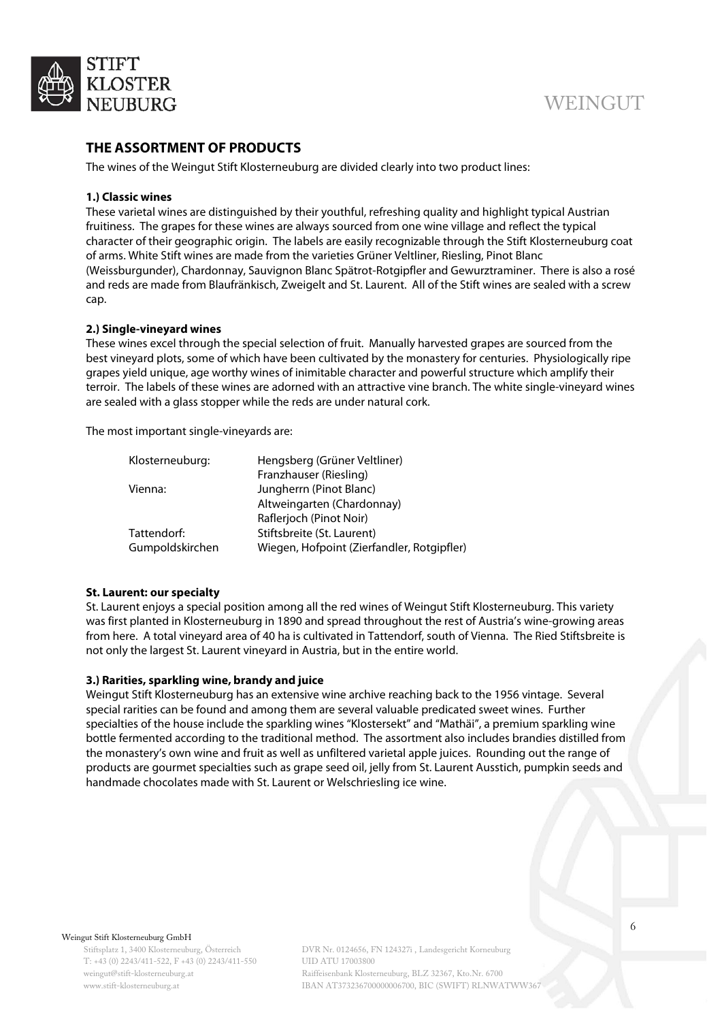

## **THE ASSORTMENT OF PRODUCTS**

The wines of the Weingut Stift Klosterneuburg are divided clearly into two product lines:

#### **1.) Classic wines**

These varietal wines are distinguished by their youthful, refreshing quality and highlight typical Austrian fruitiness. The grapes for these wines are always sourced from one wine village and reflect the typical character of their geographic origin. The labels are easily recognizable through the Stift Klosterneuburg coat of arms. White Stift wines are made from the varieties Grüner Veltliner, Riesling, Pinot Blanc (Weissburgunder), Chardonnay, Sauvignon Blanc Spätrot-Rotgipfler and Gewurztraminer. There is also a rosé and reds are made from Blaufränkisch, Zweigelt and St. Laurent. All of the Stift wines are sealed with a screw cap.

#### **2.) Single-vineyard wines**

These wines excel through the special selection of fruit. Manually harvested grapes are sourced from the best vineyard plots, some of which have been cultivated by the monastery for centuries. Physiologically ripe grapes yield unique, age worthy wines of inimitable character and powerful structure which amplify their terroir. The labels of these wines are adorned with an attractive vine branch. The white single-vineyard wines are sealed with a glass stopper while the reds are under natural cork.

The most important single-vineyards are:

| Klosterneuburg: | Hengsberg (Grüner Veltliner)               |
|-----------------|--------------------------------------------|
|                 | Franzhauser (Riesling)                     |
| Vienna:         | Jungherrn (Pinot Blanc)                    |
|                 | Altweingarten (Chardonnay)                 |
|                 | Raflerjoch (Pinot Noir)                    |
| Tattendorf:     | Stiftsbreite (St. Laurent)                 |
| Gumpoldskirchen | Wiegen, Hofpoint (Zierfandler, Rotgipfler) |
|                 |                                            |

#### **St. Laurent: our specialty**

St. Laurent enjoys a special position among all the red wines of Weingut Stift Klosterneuburg. This variety was first planted in Klosterneuburg in 1890 and spread throughout the rest of Austria's wine-growing areas from here. A total vineyard area of 40 ha is cultivated in Tattendorf, south of Vienna. The Ried Stiftsbreite is not only the largest St. Laurent vineyard in Austria, but in the entire world.

#### **3.) Rarities, sparkling wine, brandy and juice**

Weingut Stift Klosterneuburg has an extensive wine archive reaching back to the 1956 vintage. Several special rarities can be found and among them are several valuable predicated sweet wines. Further specialties of the house include the sparkling wines "Klostersekt" and "Mathäi", a premium sparkling wine bottle fermented according to the traditional method. The assortment also includes brandies distilled from the monastery's own wine and fruit as well as unfiltered varietal apple juices. Rounding out the range of products are gourmet specialties such as grape seed oil, jelly from St. Laurent Ausstich, pumpkin seeds and handmade chocolates made with St. Laurent or Welschriesling ice wine.

Weingut Stift Klosterneuburg GmbH

Stiftsplatz 1, 3400 Klosterneuburg, Österreich T: +43 (0) 2243/411-522, F +43 (0) 2243/411-550 weingut@stift-klosterneuburg.at www.stift-klosterneuburg.at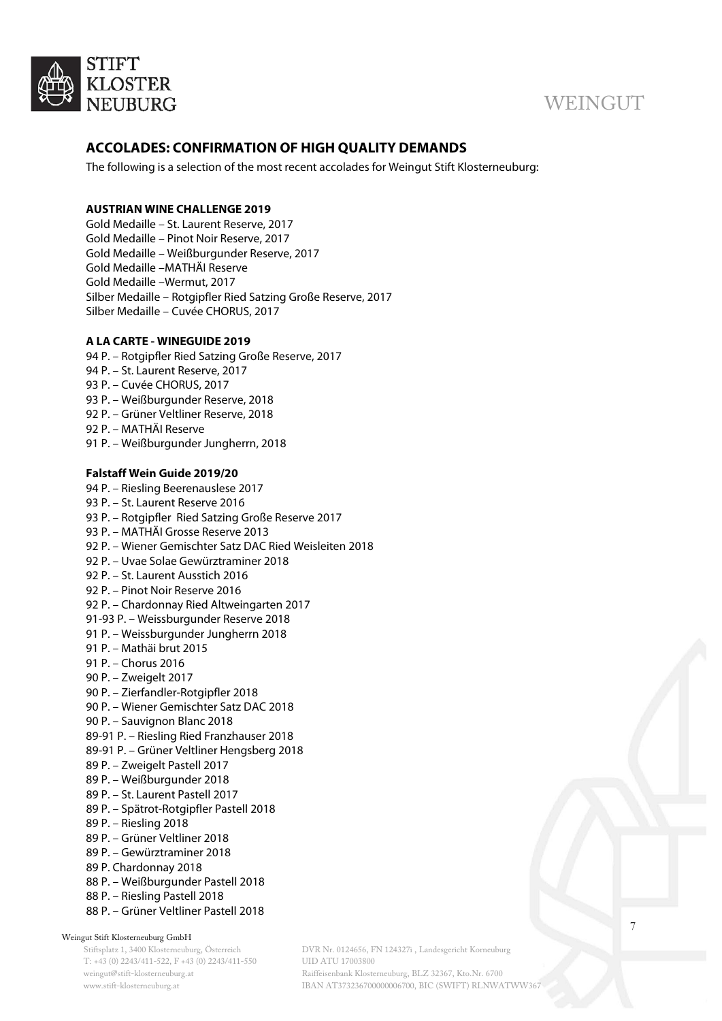

# <span id="page-6-0"></span>**ACCOLADES: CONFIRMATION OF HIGH QUALITY DEMANDS**

The following is a selection of the most recent accolades for Weingut Stift Klosterneuburg:

#### **AUSTRIAN WINE CHALLENGE 2019**

Gold Medaille – St. Laurent Reserve, 2017 Gold Medaille – Pinot Noir Reserve, 2017 Gold Medaille – Weißburgunder Reserve, 2017 Gold Medaille –MATHÄI Reserve Gold Medaille –Wermut, 2017 Silber Medaille – Rotgipfler Ried Satzing Große Reserve, 2017 Silber Medaille – Cuvée CHORUS, 2017

#### **A LA CARTE - WINEGUIDE 2019**

- 94 P. Rotgipfler Ried Satzing Große Reserve, 2017
- 94 P. St. Laurent Reserve, 2017
- 93 P. Cuvée CHORUS, 2017
- 93 P. Weißburgunder Reserve, 2018
- 92 P. Grüner Veltliner Reserve, 2018
- 92 P. MATHÄI Reserve
- 91 P. Weißburgunder Jungherrn, 2018

#### **Falstaff Wein Guide 2019/20**

94 P. – Riesling Beerenauslese 2017

- 93 P. St. Laurent Reserve 2016 93 P. – Rotgipfler Ried Satzing Große Reserve 2017 93 P. – MATHÄI Grosse Reserve 2013 92 P. – Wiener Gemischter Satz DAC Ried Weisleiten 2018 92 P. – Uvae Solae Gewürztraminer 2018 92 P. – St. Laurent Ausstich 2016 92 P. – Pinot Noir Reserve 2016 92 P. – Chardonnay Ried Altweingarten 2017 91-93 P. – Weissburgunder Reserve 2018 91 P. – Weissburgunder Jungherrn 2018 91 P. – Mathäi brut 2015 91 P. – Chorus 2016 90 P. – Zweigelt 2017 90 P. – Zierfandler-Rotgipfler 2018 90 P. – Wiener Gemischter Satz DAC 2018 90 P. – Sauvignon Blanc 2018 89-91 P. – Riesling Ried Franzhauser 2018 89-91 P. – Grüner Veltliner Hengsberg 2018 89 P. – Zweigelt Pastell 2017 89 P. – Weißburgunder 2018 89 P. – St. Laurent Pastell 2017 89 P. – Spätrot-Rotgipfler Pastell 2018 89 P. – Riesling 2018 89 P. – Grüner Veltliner 2018 89 P. – Gewürztraminer 2018 89 P. Chardonnay 2018 88 P. – Weißburgunder Pastell 2018
- 88 P. Riesling Pastell 2018
- 88 P. Grüner Veltliner Pastell 2018

#### Weingut Stift Klosterneuburg GmbH

Stiftsplatz 1, 3400 Klosterneuburg, Österreich T: +43 (0) 2243/411-522, F +43 (0) 2243/411-550 weingut@stift-klosterneuburg.at www.stift-klosterneuburg.at

DVR Nr. 0124656, FN 124327i , Landesgericht Korneuburg UID ATU 17003800 Raiffeisenbank Klosterneuburg, BLZ 32367, Kto.Nr. 6700 IBAN AT373236700000006700, BIC (SWIFT) RLNWATWW367 7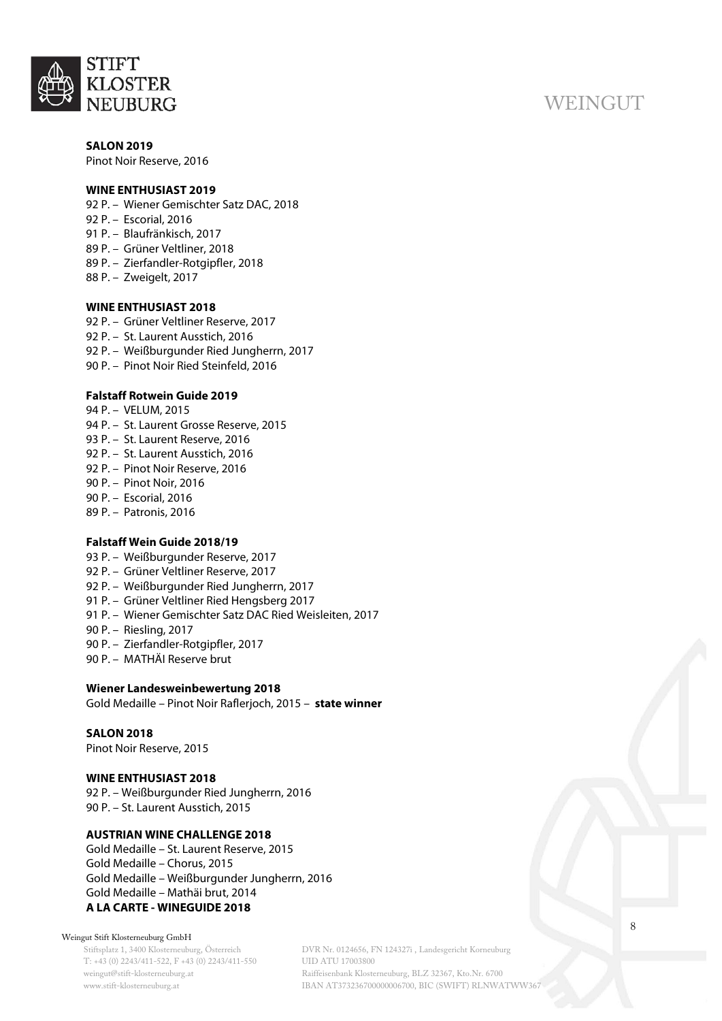

**SALON 2019** Pinot Noir Reserve, 2016

#### **WINE ENTHUSIAST 2019**

- 92 P. Wiener Gemischter Satz DAC, 2018
- 92 P. Escorial, 2016
- 91 P. Blaufränkisch, 2017
- 89 P. Grüner Veltliner, 2018
- 89 P. Zierfandler-Rotgipfler, 2018
- 88 P. Zweigelt, 2017

#### **WINE ENTHUSIAST 2018**

92 P. – Grüner Veltliner Reserve, 2017 92 P. – St. Laurent Ausstich, 2016 92 P. – Weißburgunder Ried Jungherrn, 2017 90 P. – Pinot Noir Ried Steinfeld, 2016

#### **Falstaff Rotwein Guide 2019**

- 94 P. VELUM, 2015
- 94 P. St. Laurent Grosse Reserve, 2015 93 P. – St. Laurent Reserve, 2016
- 92 P. St. Laurent Ausstich, 2016
- 92 P. Pinot Noir Reserve, 2016
- 90 P. Pinot Noir, 2016
- 90 P. Escorial, 2016
- 89 P. Patronis, 2016

#### **Falstaff Wein Guide 2018/19**

- 93 P. Weißburgunder Reserve, 2017
- 92 P. Grüner Veltliner Reserve, 2017
- 92 P. Weißburgunder Ried Jungherrn, 2017
- 91 P. Grüner Veltliner Ried Hengsberg 2017
- 91 P. Wiener Gemischter Satz DAC Ried Weisleiten, 2017
- 90 P. Riesling, 2017
- 90 P. Zierfandler-Rotgipfler, 2017
- 90 P. MATHÄI Reserve brut

#### **Wiener Landesweinbewertung 2018**

Gold Medaille – Pinot Noir Raflerjoch, 2015 – **state winner**

#### **SALON 2018**

Pinot Noir Reserve, 2015

#### **WINE ENTHUSIAST 2018**

92 P. – Weißburgunder Ried Jungherrn, 2016 90 P. – St. Laurent Ausstich, 2015

#### **AUSTRIAN WINE CHALLENGE 2018**

Gold Medaille – St. Laurent Reserve, 2015 Gold Medaille – Chorus, 2015 Gold Medaille – Weißburgunder Jungherrn, 2016 Gold Medaille – Mathäi brut, 2014 **A LA CARTE - WINEGUIDE 2018**

#### Weingut Stift Klosterneuburg GmbH

Stiftsplatz 1, 3400 Klosterneuburg, Österreich T: +43 (0) 2243/411-522, F +43 (0) 2243/411-550 weingut@stift-klosterneuburg.at www.stift-klosterneuburg.at

DVR Nr. 0124656, FN 124327i , Landesgericht Korneuburg UID ATU 17003800 Raiffeisenbank Klosterneuburg, BLZ 32367, Kto.Nr. 6700 IBAN AT373236700000006700, BIC (SWIFT) RLNWATWW367 8

# **WEINGUT**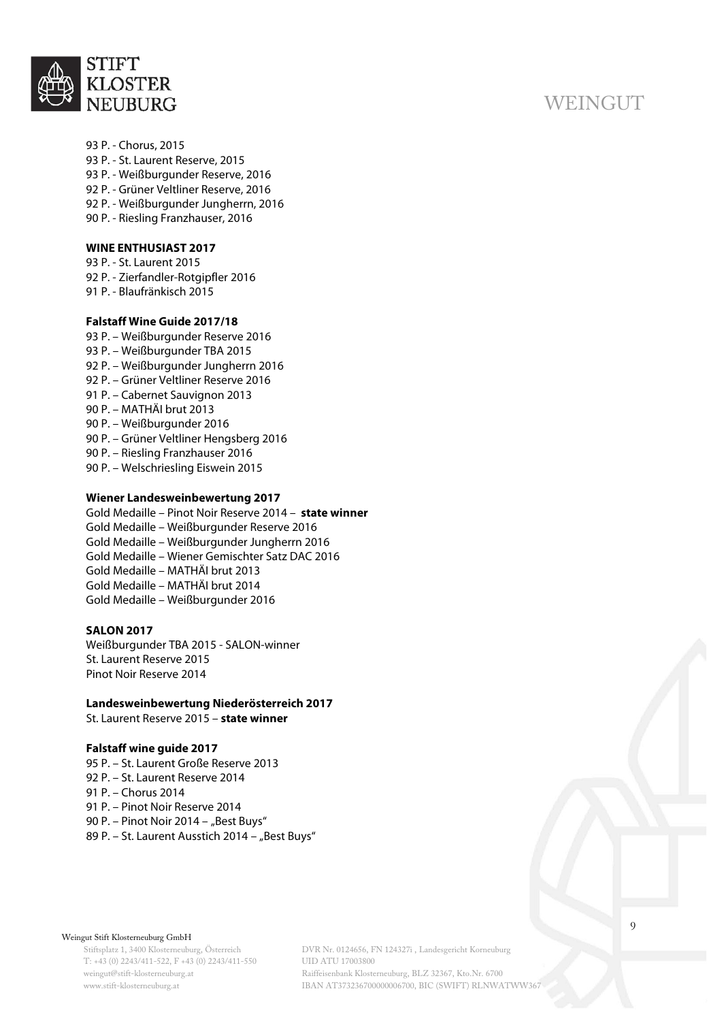

#### 93 P. - Chorus, 2015

- 93 P. St. Laurent Reserve, 2015
- 93 P. Weißburgunder Reserve, 2016
- 92 P. Grüner Veltliner Reserve, 2016
- 92 P. Weißburgunder Jungherrn, 2016
- 90 P. Riesling Franzhauser, 2016

#### **WINE ENTHUSIAST 2017**

- 93 P. St. Laurent 2015
- 92 P. Zierfandler-Rotgipfler 2016
- 91 P. Blaufränkisch 2015

#### **Falstaff Wine Guide 2017/18**

- 93 P. Weißburgunder Reserve 2016
- 93 P. Weißburgunder TBA 2015
- 92 P. Weißburgunder Jungherrn 2016
- 92 P. Grüner Veltliner Reserve 2016
- 91 P. Cabernet Sauvignon 2013
- 90 P. MATHÄI brut 2013
- 90 P. Weißburgunder 2016
- 90 P. Grüner Veltliner Hengsberg 2016
- 90 P. Riesling Franzhauser 2016
- 90 P. Welschriesling Eiswein 2015

#### **Wiener Landesweinbewertung 2017**

Gold Medaille – Pinot Noir Reserve 2014 – **state winner** Gold Medaille – Weißburgunder Reserve 2016 Gold Medaille – Weißburgunder Jungherrn 2016 Gold Medaille – Wiener Gemischter Satz DAC 2016 Gold Medaille – MATHÄI brut 2013 Gold Medaille – MATHÄI brut 2014 Gold Medaille – Weißburgunder 2016

## **SALON 2017**

Weißburgunder TBA 2015 - SALON-winner St. Laurent Reserve 2015 Pinot Noir Reserve 2014

#### **Landesweinbewertung Niederösterreich 2017**

St. Laurent Reserve 2015 – **state winner**

#### **Falstaff wine guide 2017**

95 P. – St. Laurent Große Reserve 2013 92 P. – St. Laurent Reserve 2014 91 P. – Chorus 2014 91 P. – Pinot Noir Reserve 2014 90 P. – Pinot Noir 2014 – "Best Buys" 89 P. - St. Laurent Ausstich 2014 - "Best Buys"

#### Weingut Stift Klosterneuburg GmbH

Stiftsplatz 1, 3400 Klosterneuburg, Österreich T: +43 (0) 2243/411-522, F +43 (0) 2243/411-550 weingut@stift-klosterneuburg.at www.stift-klosterneuburg.at

DVR Nr. 0124656, FN 124327i , Landesgericht Korneuburg UID ATU 17003800 Raiffeisenbank Klosterneuburg, BLZ 32367, Kto.Nr. 6700 IBAN AT373236700000006700, BIC (SWIFT) RLNWATWW367

# **WEINGUT**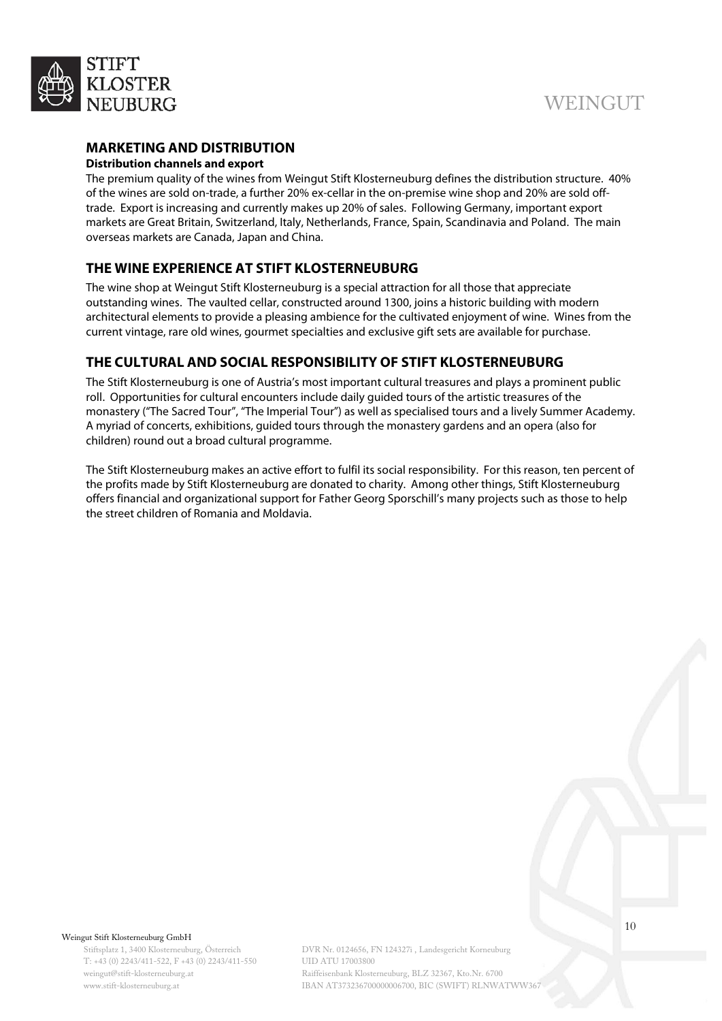

# **MARKETING AND DISTRIBUTION**

#### **Distribution channels and export**

The premium quality of the wines from Weingut Stift Klosterneuburg defines the distribution structure. 40% of the wines are sold on-trade, a further 20% ex-cellar in the on-premise wine shop and 20% are sold offtrade. Export is increasing and currently makes up 20% of sales. Following Germany, important export markets are Great Britain, Switzerland, Italy, Netherlands, France, Spain, Scandinavia and Poland. The main overseas markets are Canada, Japan and China.

# <span id="page-9-0"></span>**THE WINE EXPERIENCE AT STIFT KLOSTERNEUBURG**

The wine shop at Weingut Stift Klosterneuburg is a special attraction for all those that appreciate outstanding wines. The vaulted cellar, constructed around 1300, joins a historic building with modern architectural elements to provide a pleasing ambience for the cultivated enjoyment of wine. Wines from the current vintage, rare old wines, gourmet specialties and exclusive gift sets are available for purchase.

# <span id="page-9-1"></span>**THE CULTURAL AND SOCIAL RESPONSIBILITY OF STIFT KLOSTERNEUBURG**

The Stift Klosterneuburg is one of Austria's most important cultural treasures and plays a prominent public roll. Opportunities for cultural encounters include daily guided tours of the artistic treasures of the monastery ("The Sacred Tour", "The Imperial Tour") as well as specialised tours and a lively Summer Academy. A myriad of concerts, exhibitions, guided tours through the monastery gardens and an opera (also for children) round out a broad cultural programme.

The Stift Klosterneuburg makes an active effort to fulfil its social responsibility. For this reason, ten percent of the profits made by Stift Klosterneuburg are donated to charity. Among other things, Stift Klosterneuburg offers financial and organizational support for Father Georg Sporschill's many projects such as those to help the street children of Romania and Moldavia.

#### Weingut Stift Klosterneuburg GmbH

Stiftsplatz 1, 3400 Klosterneuburg, Österreich T: +43 (0) 2243/411-522, F +43 (0) 2243/411-550 weingut@stift-klosterneuburg.at www.stift-klosterneuburg.at